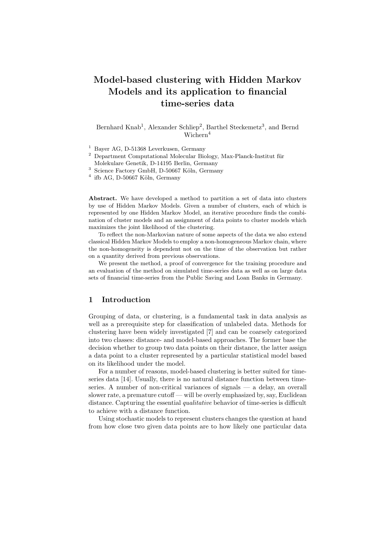# **Model-based clustering with Hidden Markov Models and its application to financial time-series data**

Bernhard Knab<sup>1</sup>, Alexander Schliep<sup>2</sup>, Barthel Steckemetz<sup>3</sup>, and Bernd Wichern<sup>4</sup>

<sup>1</sup> Bayer AG, D-51368 Leverkusen, Germany<br><sup>2</sup> Department Computational Molecular Bio

Department Computational Molecular Biology, Max-Planck-Institut für Molekulare Genetik, D-14195 Berlin, Germany

 $3$  Science Factory GmbH, D-50667 Köln, Germany

 $4$  ifb AG, D-50667 Köln, Germany

**Abstract.** We have developed a method to partition a set of data into clusters by use of Hidden Markov Models. Given a number of clusters, each of which is represented by one Hidden Markov Model, an iterative procedure finds the combination of cluster models and an assignment of data points to cluster models which maximizes the joint likelihood of the clustering.

To reflect the non-Markovian nature of some aspects of the data we also extend classical Hidden Markov Models to employ a non-homogeneous Markov chain, where the non-homogeneity is dependent not on the time of the observation but rather on a quantity derived from previous observations.

We present the method, a proof of convergence for the training procedure and an evaluation of the method on simulated time-series data as well as on large data sets of financial time-series from the Public Saving and Loan Banks in Germany.

# **1 Introduction**

Grouping of data, or clustering, is a fundamental task in data analysis as well as a prerequisite step for classification of unlabeled data. Methods for clustering have been widely investigated [7] and can be coarsely categorized into two classes: distance- and model-based approaches. The former base the decision whether to group two data points on their distance, the latter assign a data point to a cluster represented by a particular statistical model based on its likelihood under the model.

For a number of reasons, model-based clustering is better suited for timeseries data [14]. Usually, there is no natural distance function between timeseries. A number of non-critical variances of signals — a delay, an overall slower rate, a premature cutoff — will be overly emphasized by, say, Euclidean distance. Capturing the essential *qualitative* behavior of time-series is difficult to achieve with a distance function.

Using stochastic models to represent clusters changes the question at hand from how close two given data points are to how likely one particular data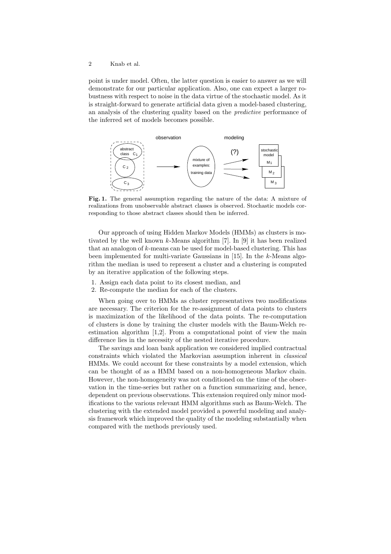point is under model. Often, the latter question is easier to answer as we will demonstrate for our particular application. Also, one can expect a larger robustness with respect to noise in the data virtue of the stochastic model. As it is straight-forward to generate artificial data given a model-based clustering, an analysis of the clustering quality based on the *predictive* performance of the inferred set of models becomes possible.



**Fig. 1.** The general assumption regarding the nature of the data: A mixture of realizations from unobservable abstract classes is observed. Stochastic models corresponding to those abstract classes should then be inferred.

Our approach of using Hidden Markov Models (HMMs) as clusters is motivated by the well known k-Means algorithm [7]. In [9] it has been realized that an analogon of  $k$ -means can be used for model-based clustering. This has been implemented for multi-variate Gaussians in  $[15]$ . In the k-Means algorithm the median is used to represent a cluster and a clustering is computed by an iterative application of the following steps.

- 1. Assign each data point to its closest median, and
- 2. Re-compute the median for each of the clusters.

When going over to HMMs as cluster representatives two modifications are necessary. The criterion for the re-assignment of data points to clusters is maximization of the likelihood of the data points. The re-computation of clusters is done by training the cluster models with the Baum-Welch reestimation algorithm [1,2]. From a computational point of view the main difference lies in the necessity of the nested iterative procedure.

The savings and loan bank application we considered implied contractual constraints which violated the Markovian assumption inherent in *classical* HMMs. We could account for these constraints by a model extension, which can be thought of as a HMM based on a non-homogeneous Markov chain. However, the non-homogeneity was not conditioned on the time of the observation in the time-series but rather on a function summarizing and, hence, dependent on previous observations. This extension required only minor modifications to the various relevant HMM algorithms such as Baum-Welch. The clustering with the extended model provided a powerful modeling and analysis framework which improved the quality of the modeling substantially when compared with the methods previously used.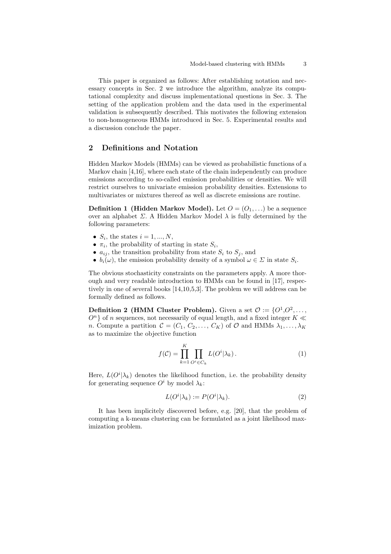This paper is organized as follows: After establishing notation and necessary concepts in Sec. 2 we introduce the algorithm, analyze its computational complexity and discuss implementational questions in Sec. 3. The setting of the application problem and the data used in the experimental validation is subsequently described. This motivates the following extension to non-homogeneous HMMs introduced in Sec. 5. Experimental results and a discussion conclude the paper.

## **2 Definitions and Notation**

Hidden Markov Models (HMMs) can be viewed as probabilistic functions of a Markov chain [4,16], where each state of the chain independently can produce emissions according to so-called emission probabilities or densities. We will restrict ourselves to univariate emission probability densities. Extensions to multivariates or mixtures thereof as well as discrete emissions are routine.

**Definition 1 (Hidden Markov Model).** Let  $O = (O_1, \ldots)$  be a sequence over an alphabet  $\Sigma$ . A Hidden Markov Model  $\lambda$  is fully determined by the following parameters:

- $S_i$ , the states  $i = 1, ..., N$ ,
- $\pi_i$ , the probability of starting in state  $S_i$ ,
- $a_{ij}$ , the transition probability from state  $S_i$  to  $S_j$ , and
- $b_i(\omega)$ , the emission probability density of a symbol  $\omega \in \Sigma$  in state  $S_i$ .

The obvious stochasticity constraints on the parameters apply. A more thorough and very readable introduction to HMMs can be found in [17], respectively in one of several books [14,10,5,3]. The problem we will address can be formally defined as follows.

**Definition 2 (HMM Cluster Problem).** Given a set  $\mathcal{O} := \{O^1, O^2, \ldots, O^r\}$  $O<sup>n</sup>$  of n sequences, not necessarily of equal length, and a fixed integer  $K \ll$ *n*. Compute a partition  $\mathcal{C} = (C_1, C_2, \ldots, C_K)$  of  $\mathcal{O}$  and HMMs  $\lambda_1, \ldots, \lambda_K$ as to maximize the objective function

$$
f(\mathcal{C}) = \prod_{k=1}^{K} \prod_{O^i \in C_k} L(O^i | \lambda_k).
$$
 (1)

Here,  $L(O<sup>i</sup>| \lambda_k)$  denotes the likelihood function, i.e. the probability density for generating sequence  $O^i$  by model  $\lambda_k$ :

$$
L(Oi| \lambda_k) := P(Oi| \lambda_k).
$$
\n(2)

It has been implicitely discovered before, e.g. [20], that the problem of computing a k-means clustering can be formulated as a joint likelihood maximization problem.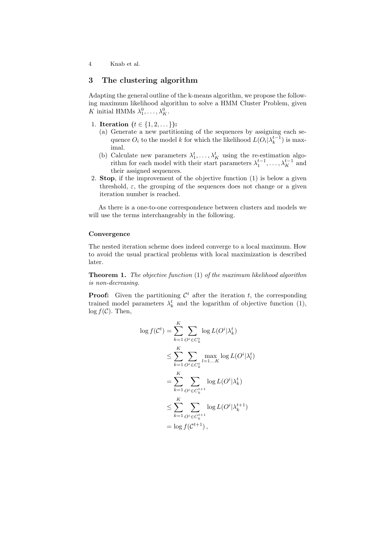## **3 The clustering algorithm**

Adapting the general outline of the k-means algorithm, we propose the following maximum likelihood algorithm to solve a HMM Cluster Problem, given K initial HMMs  $\lambda_1^0, \ldots, \lambda_K^0$ .

- 1. **Iteration**  $(t \in \{1, 2, \dots\})$ :
	- (a) Generate a new partitioning of the sequences by assigning each sequence  $O_i$  to the model k for which the likelihood  $L(O_i|\lambda_k^{t-1})$  is maximal.
	- (b) Calculate new parameters  $\lambda_1^t, \ldots, \lambda_K^t$  using the re-estimation algorithm for each model with their start parameters  $\lambda_1^{t-1}, \ldots, \lambda_K^{t-1}$  and their assigned sequences.
- 2. **Stop**, if the improvement of the objective function (1) is below a given threshold,  $\varepsilon$ , the grouping of the sequences does not change or a given iteration number is reached.

As there is a one-to-one correspondence between clusters and models we will use the terms interchangeably in the following.

### **Convergence**

The nested iteration scheme does indeed converge to a local maximum. How to avoid the usual practical problems with local maximization is described later.

**Theorem 1.** *The objective function* (1) *of the maximum likelihood algorithm is non-decreasing.*

**Proof:** Given the partitioning  $\mathcal{C}^t$  after the iteration t, the corresponding trained model parameters  $\lambda_k^t$  and the logarithm of objective function (1),  $\log f(\mathcal{C})$ . Then,

$$
\log f(C^t) = \sum_{k=1}^K \sum_{O^i \in C_k^t} \log L(O^i | \lambda_k^t)
$$
  
\n
$$
\leq \sum_{k=1}^K \sum_{O^i \in C_k^t} \max_{l=1...K} \log L(O^i | \lambda_l^t)
$$
  
\n
$$
= \sum_{k=1}^K \sum_{O^i \in C_k^{t+1}} \log L(O^i | \lambda_k^t)
$$
  
\n
$$
\leq \sum_{k=1}^K \sum_{O^i \in C_k^{t+1}} \log L(O^i | \lambda_k^{t+1})
$$
  
\n
$$
= \log f(C^{t+1}),
$$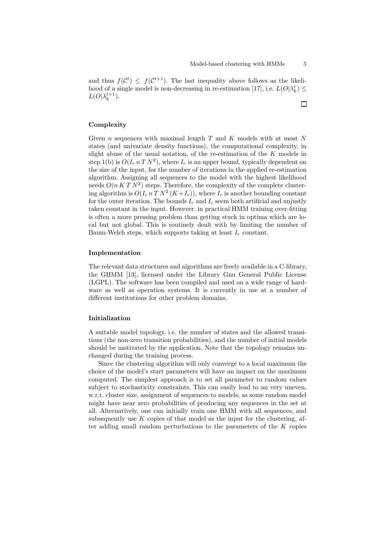and thus  $f(\mathcal{C}^t) \leq f(\mathcal{C}^{t+1})$ . The last inequality above follows as the likelihood of a single model is non-decreasing in re-estimation [17], i.e.  $L(O|\lambda_k^t) \leq$  $L(O|\lambda_k^{t+1}).$  $\Box$ 

#### **Complexity**

Given  $n$  sequences with maximal length  $T$  and  $K$  models with at most  $N$ states (and univariate density functions), the computational complexity, in slight abuse of the usual notation, of the re-estimation of the  $K$  models in step 1(b) is  $O(I_r n T N^2)$ , where  $I_r$  is an upper bound, typically dependent on the size of the input, for the number of iterations in the applied re-estimation algorithm. Assigning all sequences to the model with the highest likelihood needs  $O(nKT N^2)$  steps. Therefore, the complexity of the complete clustering algorithm is  $O(I_c n T N^2 (K+I_r))$ , where  $I_c$  is another bounding constant for the outer iteration. The bounds  $I_r$  and  $I_c$  seem both artificial and unjustly taken constant in the input. However, in practical HMM training over-fitting is often a more pressing problem than getting stuck in optima which are local but not global. This is routinely dealt with by limiting the number of Baum-Welch steps, which supports taking at least  $I_r$  constant.

### **Implementation**

The relevant data structures and algorithms are freely available in a C-library, the GHMM [13], licensed under the Library Gnu General Public License (LGPL). The software has been compiled and used on a wide range of hardware as well as operation systems. It is currently in use at a number of different institutions for other problem domains.

#### **Initialization**

A suitable model topology, i.e. the number of states and the allowed transitions (the non-zero transition probabilities), and the number of initial models should be motivated by the application. Note that the topology remains unchanged during the training process.

Since the clustering algorithm will only converge to a local maximum the choice of the model's start parameters will have an impact on the maximum computed. The simplest approach is to set all parameter to random values subject to stochasticity constraints. This can easily lead to an very uneven, w.r.t. cluster size, assignment of sequences to models, as some random model might have near zero probabilities of producing any sequences in the set at all. Alternatively, one can initially train one HMM with all sequences, and subsequently use  $K$  copies of that model as the input for the clustering, after adding small random perturbations to the parameters of the  $K$  copies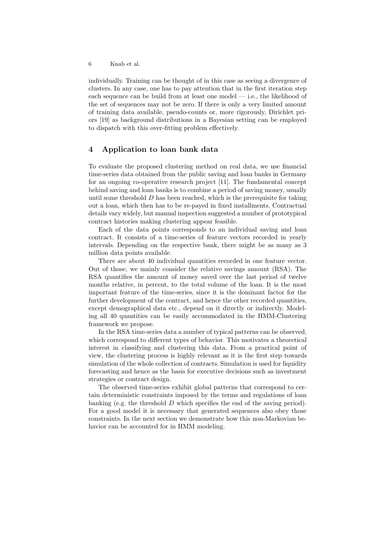individually. Training can be thought of in this case as seeing a divergence of clusters. In any case, one has to pay attention that in the first iteration step each sequence can be build from at least one model — i.e., the likelihood of the set of sequences may not be zero. If there is only a very limited amount of training data available, pseudo-counts or, more rigorously, Dirichlet priors [19] as background distributions in a Bayesian setting can be employed to dispatch with this over-fitting problem effectively.

## **4 Application to loan bank data**

To evaluate the proposed clustering method on real data, we use financial time-series data obtained from the public saving and loan banks in Germany for an ongoing co-operative research project [11]. The fundamental concept behind saving and loan banks is to combine a period of saving money, usually until some threshold  $D$  has been reached, which is the prerequisite for taking out a loan, which then has to be re-payed in fixed installments. Contractual details vary widely, but manual inspection suggested a number of prototypical contract histories making clustering appear feasible.

Each of the data points corresponds to an individual saving and loan contract. It consists of a time-series of feature vectors recorded in yearly intervals. Depending on the respective bank, there might be as many as 3 million data points available.

There are about 40 individual quantities recorded in one feature vector. Out of those, we mainly consider the relative savings amount (RSA). The RSA quantifies the amount of money saved over the last period of twelve months relative, in percent, to the total volume of the loan. It is the most important feature of the time-series, since it is the dominant factor for the further development of the contract, and hence the other recorded quantities. except demographical data etc., depend on it directly or indirectly. Modeling all 40 quantities can be easily accommodated in the HMM-Clustering framework we propose.

In the RSA time-series data a number of typical patterns can be observed, which correspond to different types of behavior. This motivates a theoretical interest in classifying and clustering this data. From a practical point of view, the clustering process is highly relevant as it is the first step towards simulation of the whole collection of contracts. Simulation is used for liquidity forecasting and hence as the basis for executive decisions such as investment strategies or contract design.

The observed time-series exhibit global patterns that correspond to certain deterministic constraints imposed by the terms and regulations of loan banking (e.g. the threshold  $D$  which specifies the end of the saving period). For a good model it is necessary that generated sequences also obey those constraints. In the next section we demonstrate how this non-Markovian behavior can be accounted for in HMM modeling.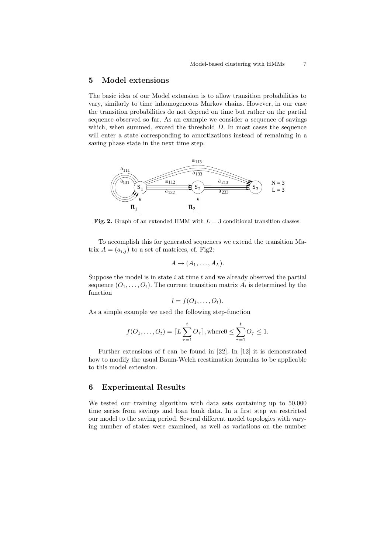## **5 Model extensions**

The basic idea of our Model extension is to allow transition probabilities to vary, similarly to time inhomogeneous Markov chains. However, in our case the transition probabilities do not depend on time but rather on the partial sequence observed so far. As an example we consider a sequence of savings which, when summed, exceed the threshold  $D$ . In most cases the sequence will enter a state corresponding to amortizations instead of remaining in a saving phase state in the next time step.



**Fig. 2.** Graph of an extended HMM with  $L = 3$  conditional transition classes.

To accomplish this for generated sequences we extend the transition Matrix  $A = (a_{i,j})$  to a set of matrices, cf. Fig2:

$$
A \to (A_1, \ldots, A_L).
$$

Suppose the model is in state  $i$  at time  $t$  and we already observed the partial sequence  $(O_1, \ldots, O_t)$ . The current transition matrix  $A_l$  is determined by the function

$$
l = f(O_1, \ldots, O_t).
$$

As a simple example we used the following step-function

$$
f(O_1,\ldots,O_t) = \lceil L\sum_{\tau=1}^t O_\tau \rceil, \text{where } 0 \leq \sum_{\tau=1}^t O_\tau \leq 1.
$$

Further extensions of f can be found in [22]. In [12] it is demonstrated how to modify the usual Baum-Welch reestimation formulas to be applicable to this model extension.

### **6 Experimental Results**

We tested our training algorithm with data sets containing up to 50,000 time series from savings and loan bank data. In a first step we restricted our model to the saving period. Several different model topologies with varying number of states were examined, as well as variations on the number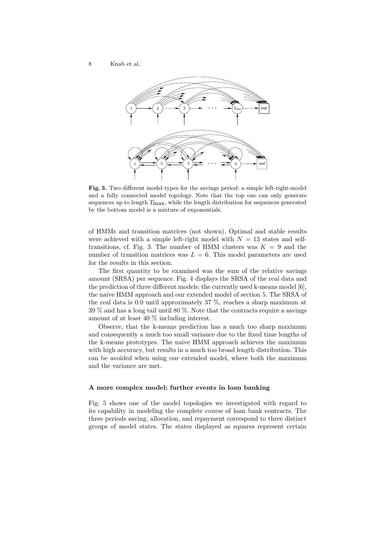

**Fig. 3.** Two different model types for the savings period: a simple left-right-model and a fully connected model topology. Note that the top one can only generate sequences up to length  $T_{\text{max}}$ , while the length distribution for sequences generated by the bottom model is a mixture of exponentials.

of HMMs and transition matrices (not shown). Optimal and stable results were achieved with a simple left-right model with  $N = 13$  states and selftransitions, cf. Fig. 3. The number of HMM clusters was  $K = 9$  and the number of transition matrices was  $L = 6$ . This model parameters are used for the results in this section.

The first quantity to be examined was the sum of the relative savings amount (SRSA) per sequence. Fig. 4 displays the SRSA of the real data and the prediction of three different models: the currently used k-means model [6], the naive HMM approach and our extended model of section 5. The SRSA of the real data is 0.0 until approximately 37 %, reaches a sharp maximum at 39 % and has a long tail until 80 %. Note that the contracts require a savings amount of at least 40 % including interest.

Observe, that the k-means prediction has a much too sharp maximum and consequently a much too small variance due to the fixed time lengths of the k-means prototypes. The naive HMM approach achieves the maximum with high accuracy, but results in a much too broad length distribution. This can be avoided when using our extended model, where both the maximum and the variance are met.

#### **A more complex model: further events in loan banking**

Fig. 5 shows one of the model topologies we investigated with regard to its capability in modeling the complete course of loan bank contracts. The three periods saving, allocation, and repayment correspond to three distinct groups of model states. The states displayed as squares represent certain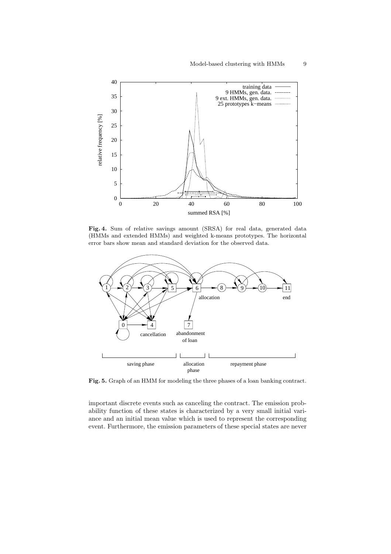

Fig. 4. Sum of relative savings amount (SRSA) for real data, generated data (HMMs and extended HMMs) and weighted k-means prototypes. The horizontal error bars show mean and standard deviation for the observed data.



**Fig. 5.** Graph of an HMM for modeling the three phases of a loan banking contract.

important discrete events such as canceling the contract. The emission probability function of these states is characterized by a very small initial variance and an initial mean value which is used to represent the corresponding event. Furthermore, the emission parameters of these special states are never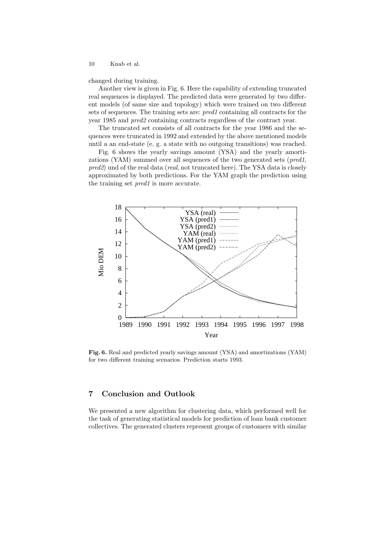changed during training.

Another view is given in Fig. 6. Here the capability of extending truncated real sequences is displayed. The predicted data were generated by two different models (of same size and topology) which were trained on two different sets of sequences. The training sets are: *pred1* containing all contracts for the year 1985 and *pred2* containing contracts regardless of the contract year.

The truncated set consists of all contracts for the year 1986 and the sequences were truncated in 1992 and extended by the above mentioned models until a an end-state (e. g. a state with no outgoing transitions) was reached.

Fig. 6 shows the yearly savings amount (YSA) and the yearly amortizations (YAM) summed over all sequences of the two generated sets (*pred1*, *pred2*) und of the real data (*real*, not truncated here). The YSA data is closely approximated by both predictions. For the YAM graph the prediction using the training set *pred1* is more accurate.



**Fig. 6.** Real and predicted yearly savings amount (YSA) and amortizations (YAM) for two different training scenarios. Prediction starts 1993.

# **7 Conclusion and Outlook**

We presented a new algorithm for clustering data, which performed well for the task of generating statistical models for prediction of loan bank customer collectives. The generated clusters represent groups of customers with similar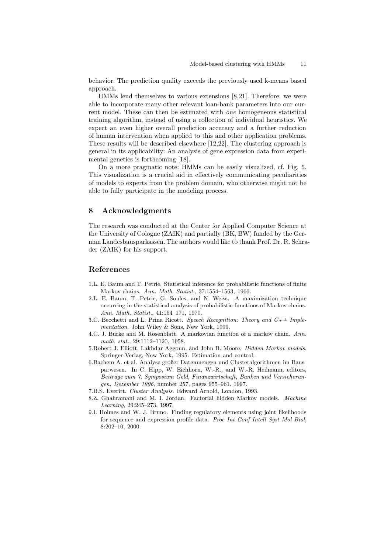behavior. The prediction quality exceeds the previously used k-means based approach.

HMMs lend themselves to various extensions [8,21]. Therefore, we were able to incorporate many other relevant loan-bank parameters into our current model. These can then be estimated with *one* homogeneous statistical training algorithm, instead of using a collection of individual heuristics. We expect an even higher overall prediction accuracy and a further reduction of human intervention when applied to this and other application problems. These results will be described elsewhere [12,22]. The clustering approach is general in its applicability: An analysis of gene expression data from experimental genetics is forthcoming [18].

On a more pragmatic note: HMMs can be easily visualized, cf. Fig. 5. This visualization is a crucial aid in effectively communicating peculiarities of models to experts from the problem domain, who otherwise might not be able to fully participate in the modeling process.

## **8 Acknowledgments**

The research was conducted at the Center for Applied Computer Science at the University of Cologne (ZAIK) and partially (BK, BW) funded by the German Landesbausparkassen. The authors would like to thank Prof. Dr. R. Schrader (ZAIK) for his support.

## **References**

- 1.L. E. Baum and T. Petrie. Statistical inference for probabilistic functions of finite Markov chains. Ann. Math. Statist., 37:1554–1563, 1966.
- 2.L. E. Baum, T. Petrie, G. Soules, and N. Weiss. A maximization technique occurring in the statistical analysis of probabilistic functions of Markov chains. Ann. Math. Statist., 41:164–171, 1970.
- 3.C. Becchetti and L. Prina Ricott. Speech Recognition: Theory and  $C++$  Implementation. John Wiley & Sons, New York, 1999.
- 4.C. J. Burke and M. Rosenblatt. A markovian function of a markov chain. Ann. math. stat., 29:1112–1120, 1958.
- 5.Robert J. Elliott, Lakhdar Aggoun, and John B. Moore. Hidden Markov models. Springer-Verlag, New York, 1995. Estimation and control.
- 6.Bachem A. et al. Analyse großer Datenmengen und Clusteralgorithmen im Bausparwesen. In C. Hipp, W. Eichhorn, W.-R., and W.-R. Heilmann, editors, Beiträge zum 7. Symposium Geld, Finanzwirtschaft, Banken und Versicherungen, Dezember 1996, number 257, pages 955–961, 1997.
- 7.B.S. Everitt. Cluster Analysis. Edward Arnold, London, 1993.
- 8.Z. Ghahramani and M. I. Jordan. Factorial hidden Markov models. Machine Learning, 29:245–273, 1997.
- 9.I. Holmes and W. J. Bruno. Finding regulatory elements using joint likelihoods for sequence and expression profile data. Proc Int Conf Intell Syst Mol Biol, 8:202–10, 2000.